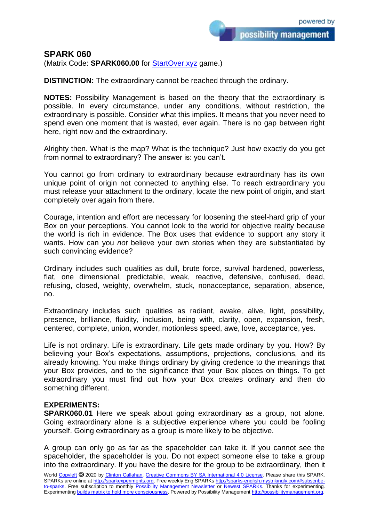## **SPARK 060**

(Matrix Code: **SPARK060.00** for [StartOver.xyz](https://startoverxyz.mystrikingly.com/) game.)

**DISTINCTION:** The extraordinary cannot be reached through the ordinary.

**NOTES:** Possibility Management is based on the theory that the extraordinary is possible. In every circumstance, under any conditions, without restriction, the extraordinary is possible. Consider what this implies. It means that you never need to spend even one moment that is wasted, ever again. There is no gap between right here, right now and the extraordinary.

Alrighty then. What is the map? What is the technique? Just how exactly do you get from normal to extraordinary? The answer is: you can't.

You cannot go from ordinary to extraordinary because extraordinary has its own unique point of origin not connected to anything else. To reach extraordinary you must release your attachment to the ordinary, locate the new point of origin, and start completely over again from there.

Courage, intention and effort are necessary for loosening the steel-hard grip of your Box on your perceptions. You cannot look to the world for objective reality because the world is rich in evidence. The Box uses that evidence to support any story it wants. How can you *not* believe your own stories when they are substantiated by such convincing evidence?

Ordinary includes such qualities as dull, brute force, survival hardened, powerless, flat, one dimensional, predictable, weak, reactive, defensive, confused, dead, refusing, closed, weighty, overwhelm, stuck, nonacceptance, separation, absence, no.

Extraordinary includes such qualities as radiant, awake, alive, light, possibility, presence, brilliance, fluidity, inclusion, being with, clarity, open, expansion, fresh, centered, complete, union, wonder, motionless speed, awe, love, acceptance, yes.

Life is not ordinary. Life is extraordinary. Life gets made ordinary by you. How? By believing your Box's expectations, assumptions, projections, conclusions, and its already knowing. You make things ordinary by giving credence to the meanings that your Box provides, and to the significance that your Box places on things. To get extraordinary you must find out how your Box creates ordinary and then do something different.

## **EXPERIMENTS:**

**SPARK060.01** Here we speak about going extraordinary as a group, not alone. Going extraordinary alone is a subjective experience where you could be fooling yourself. Going extraordinary as a group is more likely to be objective.

A group can only go as far as the spaceholder can take it. If you cannot see the spaceholder, the spaceholder is you. Do not expect someone else to take a group into the extraordinary. If you have the desire for the group to be extraordinary, then it